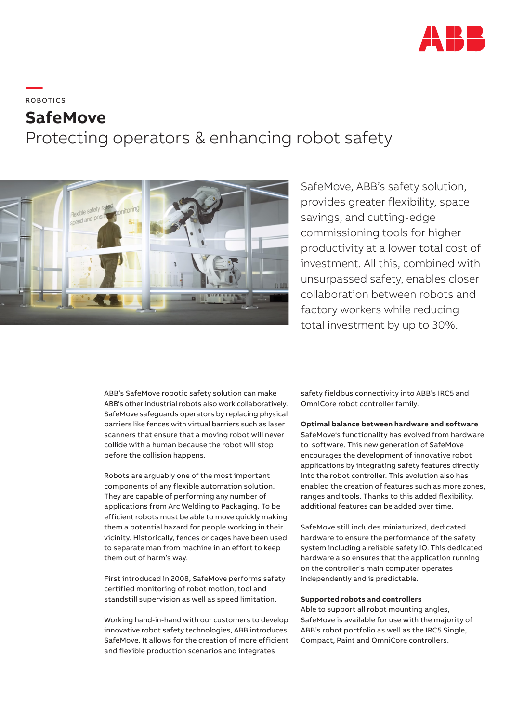

# **—**  ROBOTICS **SafeMove** Protecting operators & enhancing robot safety



SafeMove, ABB's safety solution, provides greater flexibility, space savings, and cutting-edge commissioning tools for higher productivity at a lower total cost of investment. All this, combined with unsurpassed safety, enables closer collaboration between robots and factory workers while reducing total investment by up to 30%.

ABB's SafeMove robotic safety solution can make ABB's other industrial robots also work collaboratively. SafeMove safeguards operators by replacing physical barriers like fences with virtual barriers such as laser scanners that ensure that a moving robot will never collide with a human because the robot will stop before the collision happens.

Robots are arguably one of the most important components of any flexible automation solution. They are capable of performing any number of applications from Arc Welding to Packaging. To be efficient robots must be able to move quickly making them a potential hazard for people working in their vicinity. Historically, fences or cages have been used to separate man from machine in an effort to keep them out of harm's way.

First introduced in 2008, SafeMove performs safety certified monitoring of robot motion, tool and standstill supervision as well as speed limitation.

Working hand-in-hand with our customers to develop innovative robot safety technologies, ABB introduces SafeMove. It allows for the creation of more efficient and flexible production scenarios and integrates

safety fieldbus connectivity into ABB's IRC5 and OmniCore robot controller family.

### **Optimal balance between hardware and software**

SafeMove's functionality has evolved from hardware to software. This new generation of SafeMove encourages the development of innovative robot applications by integrating safety features directly into the robot controller. This evolution also has enabled the creation of features such as more zones, ranges and tools. Thanks to this added flexibility, additional features can be added over time.

SafeMove still includes miniaturized, dedicated hardware to ensure the performance of the safety system including a reliable safety IO. This dedicated hardware also ensures that the application running on the controller's main computer operates independently and is predictable.

### **Supported robots and controllers**

Able to support all robot mounting angles, SafeMove is available for use with the majority of ABB's robot portfolio as well as the IRC5 Single, Compact, Paint and OmniCore controllers.